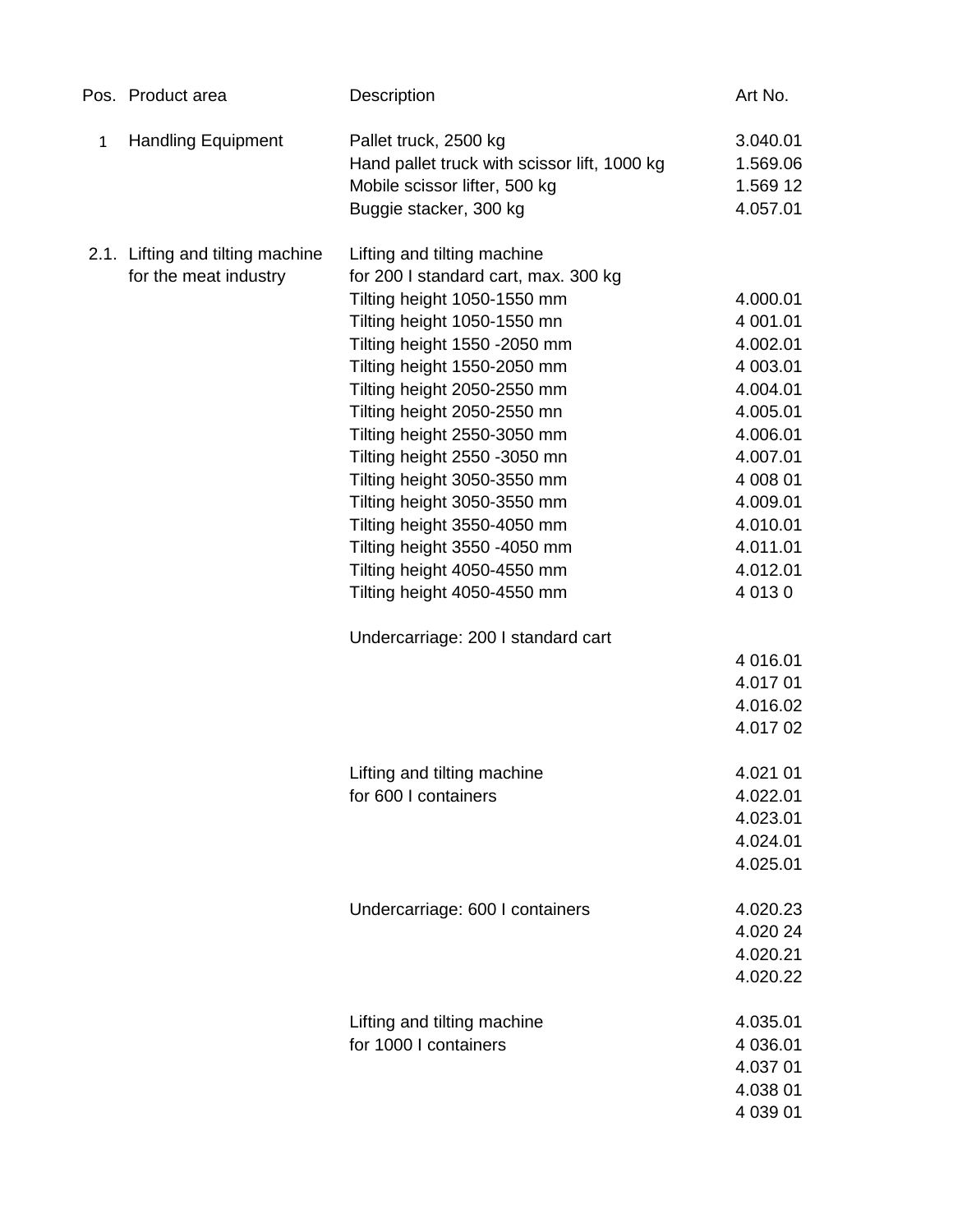|              | Pos. Product area                | Description                                  | Art No.     |
|--------------|----------------------------------|----------------------------------------------|-------------|
| $\mathbf{1}$ | <b>Handling Equipment</b>        | Pallet truck, 2500 kg                        | 3.040.01    |
|              |                                  | Hand pallet truck with scissor lift, 1000 kg | 1.569.06    |
|              |                                  | Mobile scissor lifter, 500 kg                | 1.569 12    |
|              |                                  | Buggie stacker, 300 kg                       | 4.057.01    |
|              | 2.1. Lifting and tilting machine | Lifting and tilting machine                  |             |
|              | for the meat industry            | for 200 I standard cart, max. 300 kg         |             |
|              |                                  | Tilting height 1050-1550 mm                  | 4.000.01    |
|              |                                  | Tilting height 1050-1550 mn                  | 4 001.01    |
|              |                                  | Tilting height 1550 -2050 mm                 | 4.002.01    |
|              |                                  | Tilting height 1550-2050 mm                  | 4 003.01    |
|              |                                  | Tilting height 2050-2550 mm                  | 4.004.01    |
|              |                                  | Tilting height 2050-2550 mn                  | 4.005.01    |
|              |                                  | Tilting height 2550-3050 mm                  | 4.006.01    |
|              |                                  | Tilting height 2550 -3050 mn                 | 4.007.01    |
|              |                                  | Tilting height 3050-3550 mm                  | 4 008 01    |
|              |                                  | Tilting height 3050-3550 mm                  | 4.009.01    |
|              |                                  | Tilting height 3550-4050 mm                  | 4.010.01    |
|              |                                  | Tilting height 3550 -4050 mm                 | 4.011.01    |
|              |                                  | Tilting height 4050-4550 mm                  | 4.012.01    |
|              |                                  | Tilting height 4050-4550 mm                  | 4 0 1 3 0   |
|              |                                  | Undercarriage: 200 I standard cart           |             |
|              |                                  |                                              | 4 016.01    |
|              |                                  |                                              | 4.017 01    |
|              |                                  |                                              | 4.016.02    |
|              |                                  |                                              | 4.017 02    |
|              |                                  | Lifting and tilting machine                  | 4.021 01    |
|              |                                  | for 600 I containers                         | 4.022.01    |
|              |                                  |                                              | 4.023.01    |
|              |                                  |                                              | 4.024.01    |
|              |                                  |                                              | 4.025.01    |
|              |                                  | Undercarriage: 600 I containers              | 4.020.23    |
|              |                                  |                                              | 4.020 24    |
|              |                                  |                                              | 4.020.21    |
|              |                                  |                                              | 4.020.22    |
|              |                                  | Lifting and tilting machine                  | 4.035.01    |
|              |                                  | for 1000 I containers                        | 4 036.01    |
|              |                                  |                                              | 4.037 01    |
|              |                                  |                                              | 4.038 01    |
|              |                                  |                                              | 4 0 3 9 0 1 |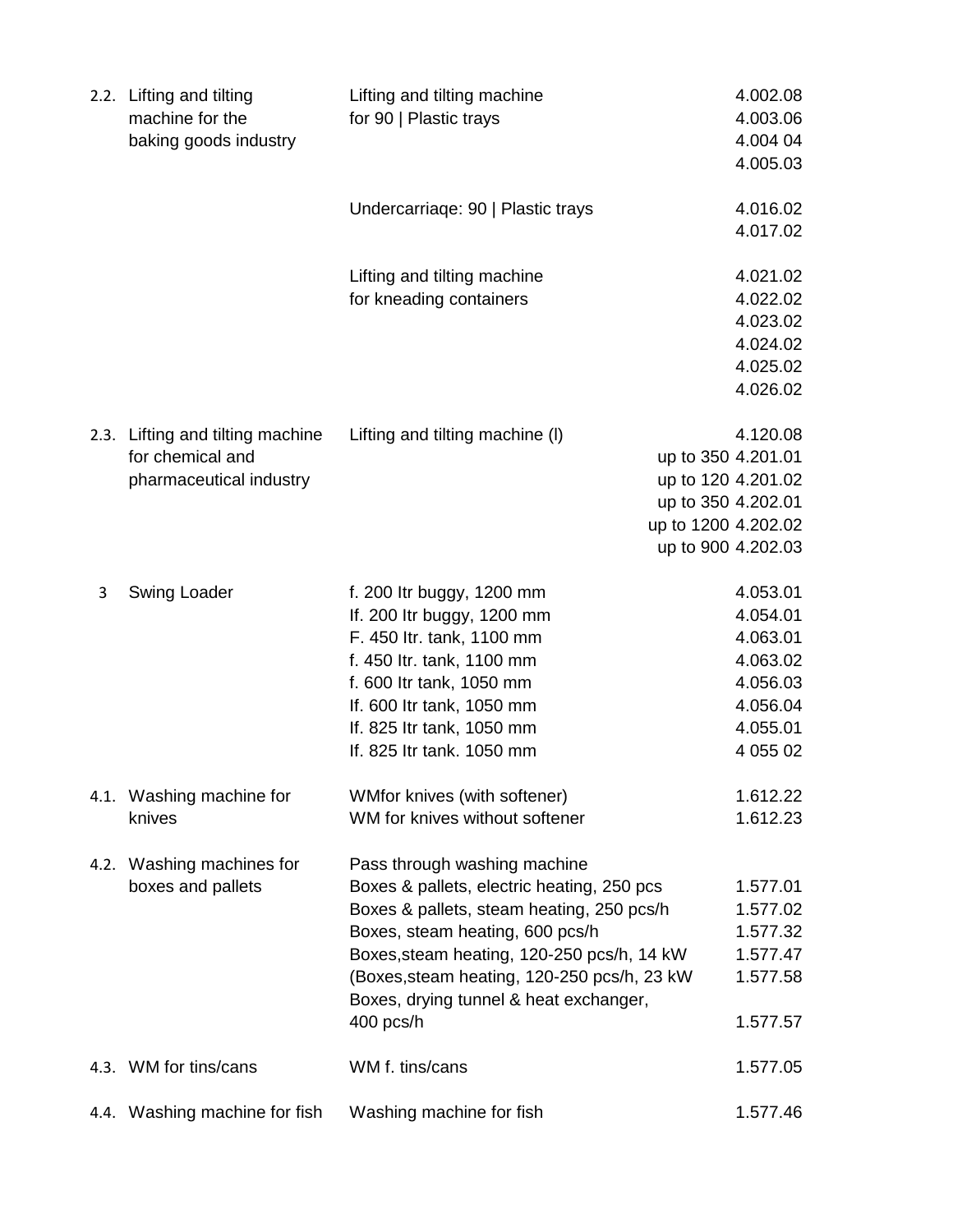|      | 2.2. Lifting and tilting<br>machine for the<br>baking goods industry            | Lifting and tilting machine<br>for 90   Plastic trays                                                                                                                                                                                                                                                          | 4.002.08<br>4.003.06<br>4.004 04<br>4.005.03                                                    |
|------|---------------------------------------------------------------------------------|----------------------------------------------------------------------------------------------------------------------------------------------------------------------------------------------------------------------------------------------------------------------------------------------------------------|-------------------------------------------------------------------------------------------------|
|      |                                                                                 | Undercarriage: 90   Plastic trays                                                                                                                                                                                                                                                                              | 4.016.02<br>4.017.02                                                                            |
|      |                                                                                 | Lifting and tilting machine<br>for kneading containers                                                                                                                                                                                                                                                         | 4.021.02<br>4.022.02<br>4.023.02<br>4.024.02<br>4.025.02<br>4.026.02                            |
|      | 2.3. Lifting and tilting machine<br>for chemical and<br>pharmaceutical industry | Lifting and tilting machine (I)<br>up to 350 4.201.01<br>up to 350 4.202.01<br>up to 1200 4.202.02                                                                                                                                                                                                             | 4.120.08<br>up to 120 4.201.02<br>up to 900 4.202.03                                            |
| 3    | Swing Loader                                                                    | f. 200 ltr buggy, 1200 mm<br>If. 200 Itr buggy, 1200 mm<br>F. 450 ltr. tank, 1100 mm<br>f. 450 ltr. tank, 1100 mm<br>f. 600 Itr tank, 1050 mm<br>If. 600 Itr tank, 1050 mm<br>If. 825 Itr tank, 1050 mm<br>If. 825 Itr tank. 1050 mm                                                                           | 4.053.01<br>4.054.01<br>4.063.01<br>4.063.02<br>4.056.03<br>4.056.04<br>4.055.01<br>4 0 5 5 0 2 |
|      | 4.1. Washing machine for<br>knives                                              | WMfor knives (with softener)<br>WM for knives without softener                                                                                                                                                                                                                                                 | 1.612.22<br>1.612.23                                                                            |
| 4.2. | Washing machines for<br>boxes and pallets                                       | Pass through washing machine<br>Boxes & pallets, electric heating, 250 pcs<br>Boxes & pallets, steam heating, 250 pcs/h<br>Boxes, steam heating, 600 pcs/h<br>Boxes, steam heating, 120-250 pcs/h, 14 kW<br>(Boxes, steam heating, 120-250 pcs/h, 23 kW<br>Boxes, drying tunnel & heat exchanger,<br>400 pcs/h | 1.577.01<br>1.577.02<br>1.577.32<br>1.577.47<br>1.577.58<br>1.577.57                            |
|      | 4.3. WM for tins/cans                                                           | WM f. tins/cans                                                                                                                                                                                                                                                                                                | 1.577.05                                                                                        |
|      | 4.4. Washing machine for fish                                                   | Washing machine for fish                                                                                                                                                                                                                                                                                       | 1.577.46                                                                                        |